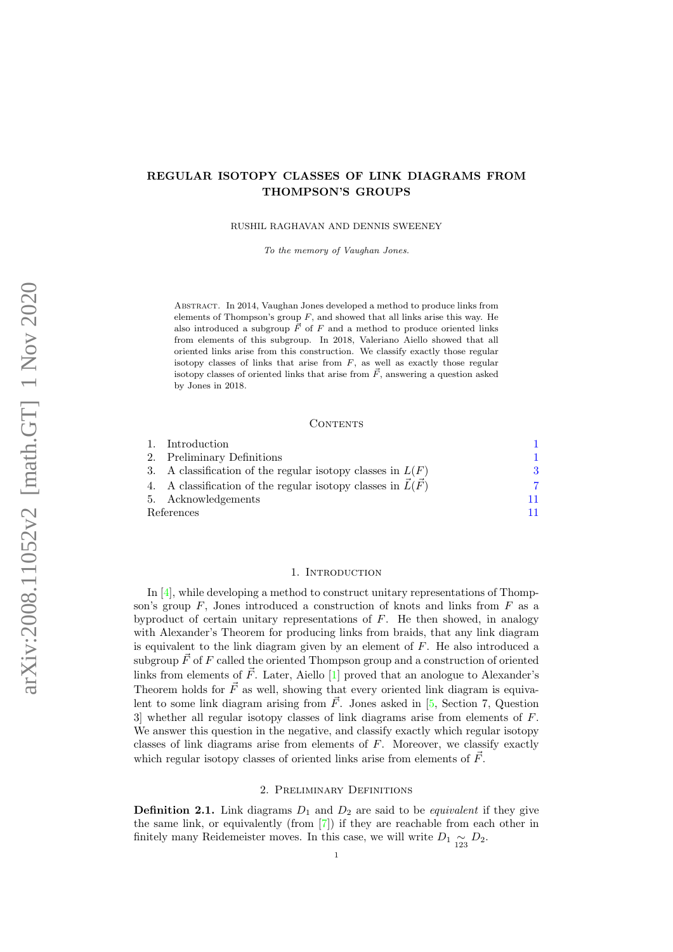# REGULAR ISOTOPY CLASSES OF LINK DIAGRAMS FROM THOMPSON'S GROUPS

RUSHIL RAGHAVAN AND DENNIS SWEENEY

To the memory of Vaughan Jones.

Abstract. In 2014, Vaughan Jones developed a method to produce links from elements of Thompson's group  $F$ , and showed that all links arise this way. He also introduced a subgroup  $\overrightarrow{F}$  of F and a method to produce oriented links from elements of this subgroup. In 2018, Valeriano Aiello showed that all oriented links arise from this construction. We classify exactly those regular isotopy classes of links that arise from  $F$ , as well as exactly those regular isotopy classes of oriented links that arise from  $\vec{F}$ , answering a question asked by Jones in 2018.

#### CONTENTS

|            | 1. Introduction                                                    |    |
|------------|--------------------------------------------------------------------|----|
|            | 2. Preliminary Definitions                                         |    |
|            | 3. A classification of the regular isotopy classes in $L(F)$       | 3  |
|            | 4. A classification of the regular isotopy classes in $\hat{L}(F)$ |    |
|            | 5. Acknowledgements                                                | 11 |
| References |                                                                    | 11 |

#### 1. INTRODUCTION

<span id="page-0-0"></span>In [\[4\]](#page-10-2), while developing a method to construct unitary representations of Thompson's group  $F$ , Jones introduced a construction of knots and links from  $F$  as a by product of certain unitary representations of  $F$ . He then showed, in analogy with Alexander's Theorem for producing links from braids, that any link diagram is equivalent to the link diagram given by an element of F. He also introduced a subgroup  $\vec{F}$  of F called the oriented Thompson group and a construction of oriented links from elements of  $\vec{F}$ . Later, Aiello [\[1\]](#page-10-3) proved that an anologue to Alexander's Theorem holds for  $\vec{F}$  as well, showing that every oriented link diagram is equivalent to some link diagram arising from  $\vec{F}$ . Jones asked in [\[5,](#page-10-4) Section 7, Question 3] whether all regular isotopy classes of link diagrams arise from elements of  $F$ . We answer this question in the negative, and classify exactly which regular isotopy classes of link diagrams arise from elements of F. Moreover, we classify exactly which regular isotopy classes of oriented links arise from elements of  $\vec{F}$ .

#### 2. Preliminary Definitions

<span id="page-0-1"></span>**Definition 2.1.** Link diagrams  $D_1$  and  $D_2$  are said to be *equivalent* if they give the same link, or equivalently (from [\[7\]](#page-10-5)) if they are reachable from each other in finitely many Reidemeister moves. In this case, we will write  $D_1 \underset{123}{\sim} D_2$ .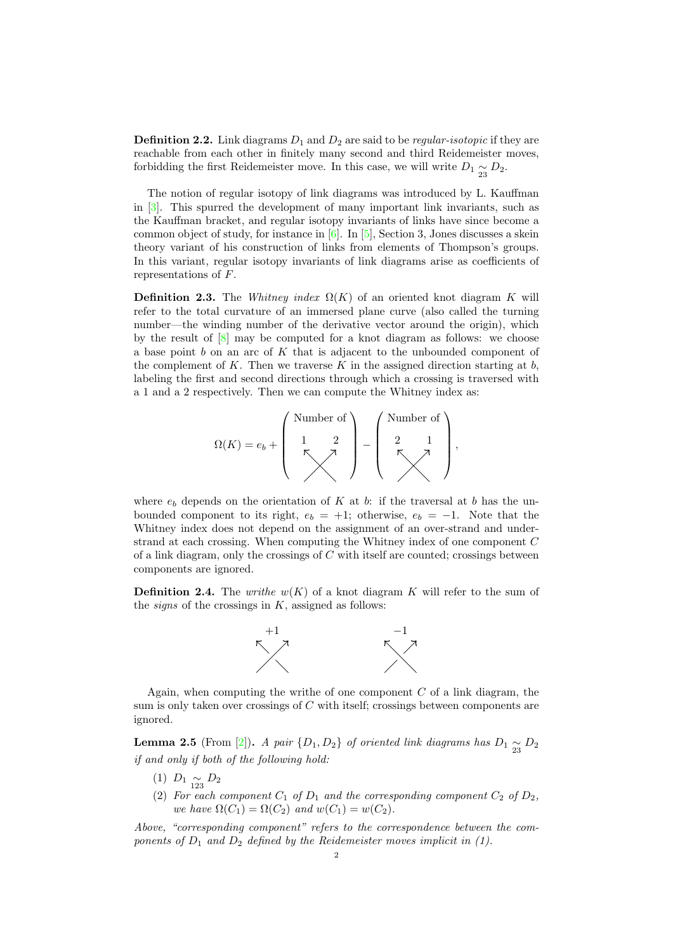**Definition 2.2.** Link diagrams  $D_1$  and  $D_2$  are said to be *regular-isotopic* if they are reachable from each other in finitely many second and third Reidemeister moves, forbidding the first Reidemeister move. In this case, we will write  $D_1 \underset{23}{\sim} D_2$ .

The notion of regular isotopy of link diagrams was introduced by L. Kauffman in [\[3\]](#page-10-6). This spurred the development of many important link invariants, such as the Kauffman bracket, and regular isotopy invariants of links have since become a common object of study, for instance in  $[6]$ . In  $[5]$ , Section 3, Jones discusses a skein theory variant of his construction of links from elements of Thompson's groups. In this variant, regular isotopy invariants of link diagrams arise as coefficients of representations of F.

<span id="page-1-0"></span>**Definition 2.3.** The Whitney index  $\Omega(K)$  of an oriented knot diagram K will refer to the total curvature of an immersed plane curve (also called the turning number—the winding number of the derivative vector around the origin), which by the result of  $[8]$  may be computed for a knot diagram as follows: we choose a base point  $b$  on an arc of  $K$  that is adjacent to the unbounded component of the complement of K. Then we traverse K in the assigned direction starting at  $b$ , labeling the first and second directions through which a crossing is traversed with a 1 and a 2 respectively. Then we can compute the Whitney index as:

$$
\Omega(K) = e_b + \left(\begin{array}{c}\text{Number of} \\ 1 & 2 \\ \hline \nwarrow \end{array}\right) - \left(\begin{array}{c}\text{Number of} \\ 2 & 1 \\ \hline \nwarrow \end{array}\right),
$$

where  $e_b$  depends on the orientation of K at b: if the traversal at b has the unbounded component to its right,  $e_b = +1$ ; otherwise,  $e_b = -1$ . Note that the Whitney index does not depend on the assignment of an over-strand and understrand at each crossing. When computing the Whitney index of one component C of a link diagram, only the crossings of C with itself are counted; crossings between components are ignored.

<span id="page-1-1"></span>**Definition 2.4.** The writhe  $w(K)$  of a knot diagram K will refer to the sum of the *signs* of the crossings in  $K$ , assigned as follows:



Again, when computing the writhe of one component  $C$  of a link diagram, the sum is only taken over crossings of C with itself; crossings between components are ignored.

<span id="page-1-2"></span>**Lemma 2.5** (From [\[2\]](#page-10-9)). A pair  $\{D_1, D_2\}$  of oriented link diagrams has  $D_1 \underset{23}{\sim} D_2$ if and only if both of the following hold:

- (1)  $D_1 \underset{123}{\sim} D_2$
- (2) For each component  $C_1$  of  $D_1$  and the corresponding component  $C_2$  of  $D_2$ , we have  $\Omega(C_1) = \Omega(C_2)$  and  $w(C_1) = w(C_2)$ .

Above, "corresponding component" refers to the correspondence between the components of  $D_1$  and  $D_2$  defined by the Reidemeister moves implicit in (1).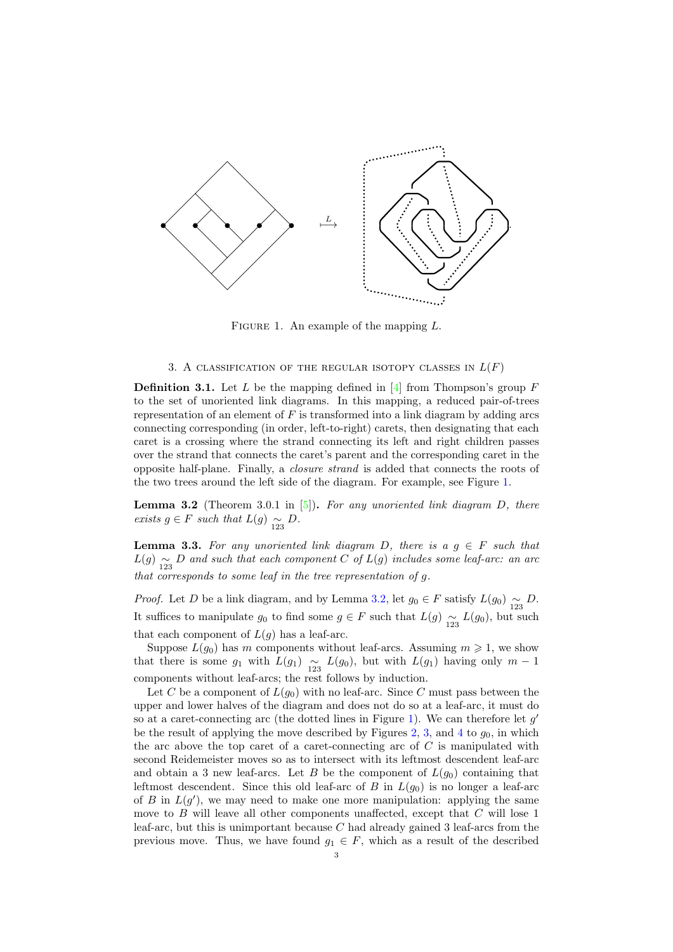<span id="page-2-1"></span>

FIGURE 1. An example of the mapping  $L$ .

## 3. A CLASSIFICATION OF THE REGULAR ISOTOPY CLASSES IN  $L(F)$

<span id="page-2-4"></span><span id="page-2-0"></span>**Definition 3.1.** Let L be the mapping defined in  $[4]$  from Thompson's group F to the set of unoriented link diagrams. In this mapping, a reduced pair-of-trees representation of an element of  $F$  is transformed into a link diagram by adding arcs connecting corresponding (in order, left-to-right) carets, then designating that each caret is a crossing where the strand connecting its left and right children passes over the strand that connects the caret's parent and the corresponding caret in the opposite half-plane. Finally, a closure strand is added that connects the roots of the two trees around the left side of the diagram. For example, see Figure [1.](#page-2-1)

<span id="page-2-2"></span>**Lemma 3.2** (Theorem 3.0.1 in  $[5]$ ). For any unoriented link diagram D, there exists  $g \in F$  such that  $L(g) \underset{123}{\sim} D$ .

<span id="page-2-3"></span>**Lemma 3.3.** For any unoriented link diagram D, there is a  $g \in F$  such that  $L(g) \underset{123}{\sim} D$  and such that each component C of  $L(g)$  includes some leaf-arc: an arc that corresponds to some leaf in the tree representation of g.

*Proof.* Let D be a link diagram, and by Lemma [3.2,](#page-2-2) let  $g_0 \in F$  satisfy  $L(g_0) \underset{123}{\sim} D$ . It suffices to manipulate  $g_0$  to find some  $g \in F$  such that  $L(g) \underset{123}{\sim} L(g_0)$ , but such that each component of  $L(g)$  has a leaf-arc.

Suppose  $L(g_0)$  has m components without leaf-arcs. Assuming  $m \geq 1$ , we show that there is some  $g_1$  with  $L(g_1) \underset{123}{\sim} L(g_0)$ , but with  $L(g_1)$  having only  $m-1$ components without leaf-arcs; the rest follows by induction.

Let C be a component of  $L(g_0)$  with no leaf-arc. Since C must pass between the upper and lower halves of the diagram and does not do so at a leaf-arc, it must do so at a caret-connecting arc (the dotted lines in Figure [1\)](#page-2-1). We can therefore let  $g'$ be the result of applying the move described by Figures [2,](#page-3-0) [3,](#page-3-1) and [4](#page-4-0) to  $g_0$ , in which the arc above the top caret of a caret-connecting arc of  $C$  is manipulated with second Reidemeister moves so as to intersect with its leftmost descendent leaf-arc and obtain a 3 new leaf-arcs. Let B be the component of  $L(q_0)$  containing that leftmost descendent. Since this old leaf-arc of B in  $L(q_0)$  is no longer a leaf-arc of B in  $L(g')$ , we may need to make one more manipulation: applying the same move to  $B$  will leave all other components unaffected, except that  $C$  will lose 1 leaf-arc, but this is unimportant because  $C$  had already gained 3 leaf-arcs from the previous move. Thus, we have found  $g_1 \in F$ , which as a result of the described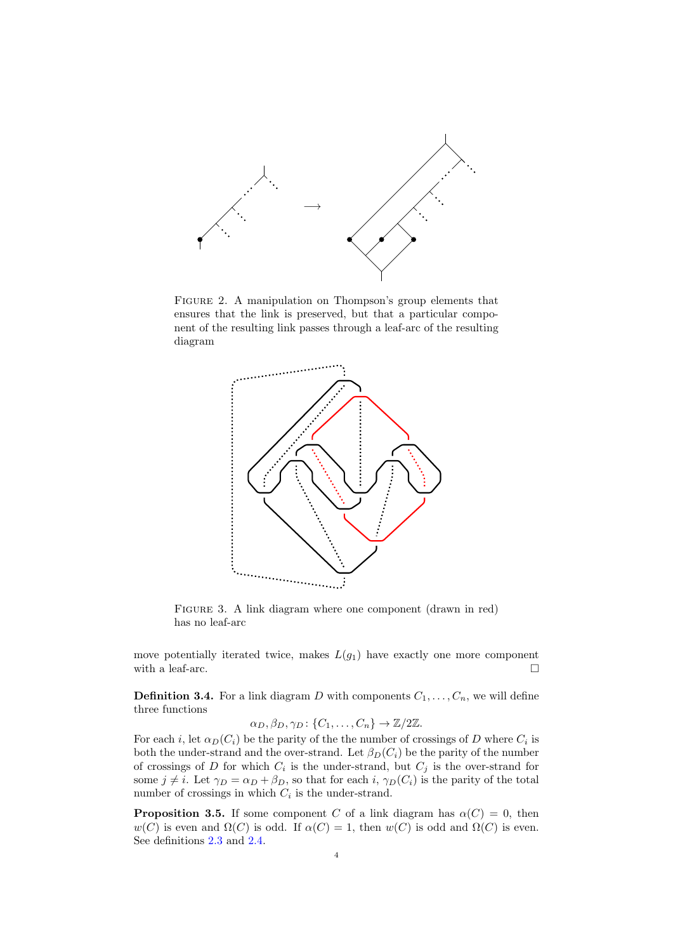<span id="page-3-0"></span>

<span id="page-3-1"></span>Figure 2. A manipulation on Thompson's group elements that ensures that the link is preserved, but that a particular component of the resulting link passes through a leaf-arc of the resulting diagram



FIGURE 3. A link diagram where one component (drawn in red) has no leaf-arc

move potentially iterated twice, makes  $L(g_1)$  have exactly one more component with a leaf-arc.  $\hfill \square$ 

**Definition 3.4.** For a link diagram D with components  $C_1, \ldots, C_n$ , we will define three functions

$$
\alpha_D, \beta_D, \gamma_D \colon \{C_1, \ldots, C_n\} \to \mathbb{Z}/2\mathbb{Z}.
$$

For each *i*, let  $\alpha_D(C_i)$  be the parity of the the number of crossings of D where  $C_i$  is both the under-strand and the over-strand. Let  $\beta_D(C_i)$  be the parity of the number of crossings of D for which  $C_i$  is the under-strand, but  $C_j$  is the over-strand for some  $j \neq i$ . Let  $\gamma_D = \alpha_D + \beta_D$ , so that for each  $i$ ,  $\gamma_D(C_i)$  is the parity of the total number of crossings in which  $C_i$  is the under-strand.

<span id="page-3-2"></span>**Proposition 3.5.** If some component C of a link diagram has  $\alpha(C) = 0$ , then  $w(C)$  is even and  $\Omega(C)$  is odd. If  $\alpha(C) = 1$ , then  $w(C)$  is odd and  $\Omega(C)$  is even. See definitions [2.3](#page-1-0) and [2.4.](#page-1-1)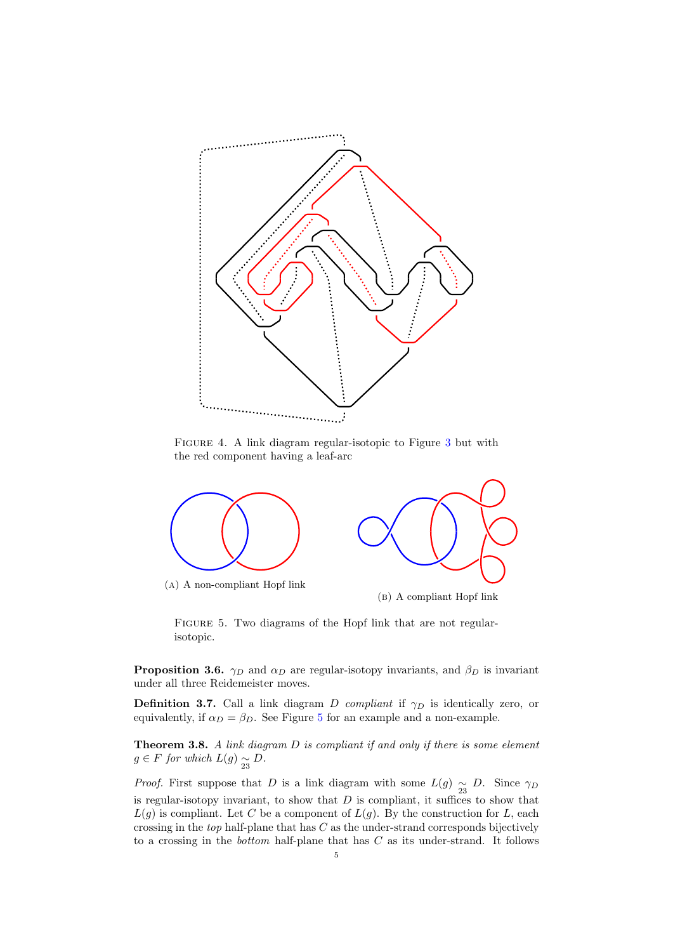<span id="page-4-0"></span>

Figure 4. A link diagram regular-isotopic to Figure [3](#page-3-1) but with the red component having a leaf-arc

<span id="page-4-1"></span>

FIGURE 5. Two diagrams of the Hopf link that are not regularisotopic.

**Proposition 3.6.**  $\gamma_D$  and  $\alpha_D$  are regular-isotopy invariants, and  $\beta_D$  is invariant under all three Reidemeister moves.

**Definition 3.7.** Call a link diagram D compliant if  $\gamma_D$  is identically zero, or equivalently, if  $\alpha_D = \beta_D$ . See Figure [5](#page-4-1) for an example and a non-example.

<span id="page-4-2"></span>Theorem 3.8. A link diagram D is compliant if and only if there is some element  $g \in F$  for which  $L(g) \underset{23}{\sim} D$ .

*Proof.* First suppose that D is a link diagram with some  $L(g) \sim_{23} D$ . Since  $\gamma_D$ is regular-isotopy invariant, to show that  $D$  is compliant, it suffices to show that  $L(g)$  is compliant. Let C be a component of  $L(g)$ . By the construction for L, each crossing in the top half-plane that has  $C$  as the under-strand corresponds bijectively to a crossing in the *bottom* half-plane that has  $C$  as its under-strand. It follows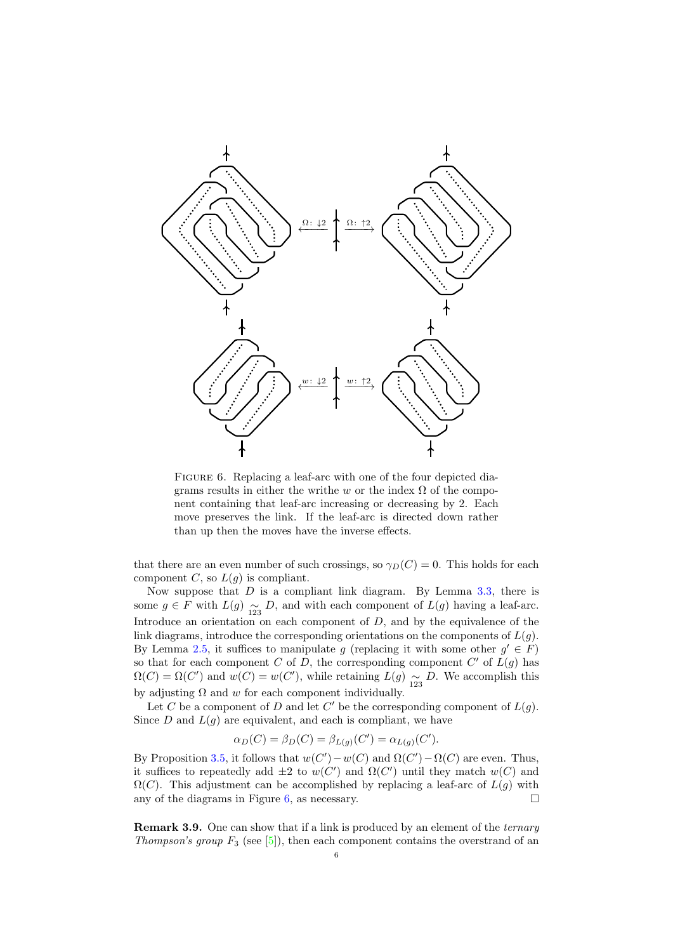<span id="page-5-0"></span>

Figure 6. Replacing a leaf-arc with one of the four depicted diagrams results in either the writhe w or the index  $\Omega$  of the component containing that leaf-arc increasing or decreasing by 2. Each move preserves the link. If the leaf-arc is directed down rather than up then the moves have the inverse effects.

that there are an even number of such crossings, so  $\gamma_D(C) = 0$ . This holds for each component C, so  $L(g)$  is compliant.

Now suppose that  $D$  is a compliant link diagram. By Lemma [3.3,](#page-2-3) there is some  $g \in F$  with  $L(g) \underset{123}{\sim} D$ , and with each component of  $L(g)$  having a leaf-arc. Introduce an orientation on each component of  $D$ , and by the equivalence of the link diagrams, introduce the corresponding orientations on the components of  $L(q)$ . By Lemma [2.5,](#page-1-2) it suffices to manipulate g (replacing it with some other  $g' \in F$ ) so that for each component C of D, the corresponding component  $C'$  of  $L(g)$  has  $\Omega(C) = \Omega(C')$  and  $w(C) = w(C')$ , while retaining  $L(g) \underset{123}{\sim} D$ . We accomplish this by adjusting  $\Omega$  and w for each component individually.

Let C be a component of D and let C' be the corresponding component of  $L(g)$ . Since  $D$  and  $L(g)$  are equivalent, and each is compliant, we have

$$
\alpha_D(C) = \beta_D(C) = \beta_{L(g)}(C') = \alpha_{L(g)}(C').
$$

By Proposition [3.5,](#page-3-2) it follows that  $w(C') - w(C)$  and  $\Omega(C') - \Omega(C)$  are even. Thus, it suffices to repeatedly add  $\pm 2$  to  $w(C')$  and  $\Omega(C')$  until they match  $w(C)$  and  $\Omega(C)$ . This adjustment can be accomplished by replacing a leaf-arc of  $L(g)$  with any of the diagrams in Figure [6,](#page-5-0) as necessary.  $\square$ 

Remark 3.9. One can show that if a link is produced by an element of the *ternary Thompson's group*  $F_3$  (see [\[5\]](#page-10-4)), then each component contains the overstrand of an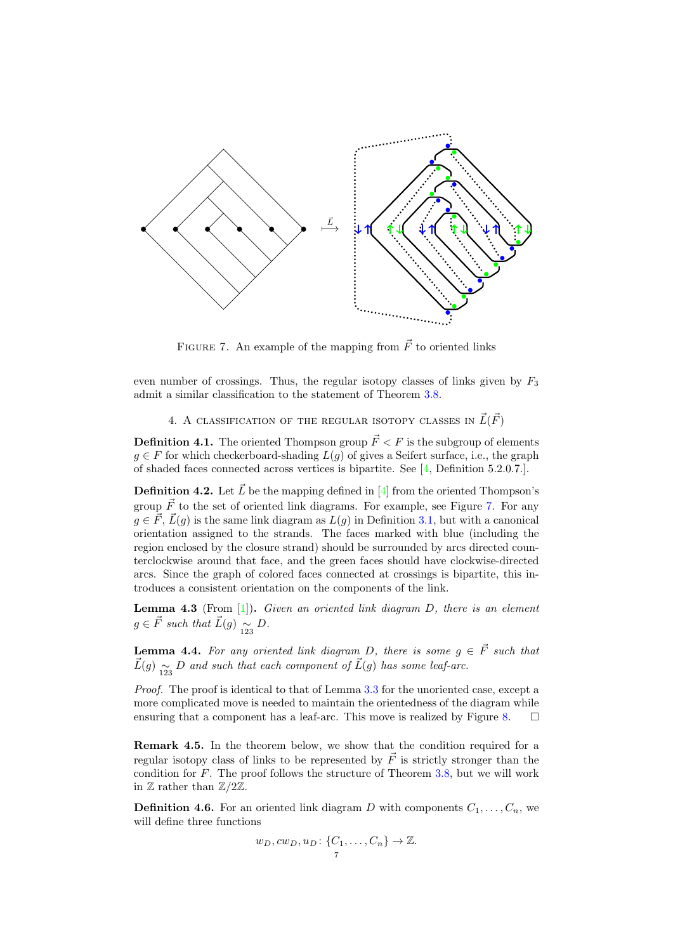<span id="page-6-1"></span>

FIGURE 7. An example of the mapping from  $\vec{F}$  to oriented links

even number of crossings. Thus, the regular isotopy classes of links given by  $F_3$ admit a similar classification to the statement of Theorem [3.8.](#page-4-2)

4. A CLASSIFICATION OF THE REGULAR ISOTOPY CLASSES IN  $\vec{L}(\vec{F})$ 

<span id="page-6-0"></span>**Definition 4.1.** The oriented Thompson group  $\vec{F} < F$  is the subgroup of elements  $g \in F$  for which checkerboard-shading  $L(g)$  of gives a Seifert surface, i.e., the graph of shaded faces connected across vertices is bipartite. See [\[4,](#page-10-2) Definition 5.2.0.7.].

**Definition 4.2.** Let  $\vec{L}$  be the mapping defined in [\[4\]](#page-10-2) from the oriented Thompson's group  $\vec{F}$  to the set of oriented link diagrams. For example, see Figure [7.](#page-6-1) For any  $q \in \vec{F}$ ,  $\vec{L}(q)$  is the same link diagram as  $L(q)$  in Definition [3.1,](#page-2-4) but with a canonical orientation assigned to the strands. The faces marked with blue (including the region enclosed by the closure strand) should be surrounded by arcs directed counterclockwise around that face, and the green faces should have clockwise-directed arcs. Since the graph of colored faces connected at crossings is bipartite, this introduces a consistent orientation on the components of the link.

**Lemma 4.3** (From  $[1]$ ). Given an oriented link diagram D, there is an element  $g \in \vec{F}$  such that  $\vec{L}(g) \underset{123}{\sim} D$ .

<span id="page-6-2"></span>**Lemma 4.4.** For any oriented link diagram D, there is some  $g \in \vec{F}$  such that  $\vec{L}(g) \underset{123}{\sim} D$  and such that each component of  $\vec{L}(g)$  has some leaf-arc.

Proof. The proof is identical to that of Lemma [3.3](#page-2-3) for the unoriented case, except a more complicated move is needed to maintain the orientedness of the diagram while ensuring that a component has a leaf-arc. This move is realized by Figure [8.](#page-7-0)  $\Box$ 

Remark 4.5. In the theorem below, we show that the condition required for a regular isotopy class of links to be represented by  $\vec{F}$  is strictly stronger than the condition for  $F$ . The proof follows the structure of Theorem [3.8,](#page-4-2) but we will work in  $\mathbb Z$  rather than  $\mathbb Z/2\mathbb Z$ .

**Definition 4.6.** For an oriented link diagram D with components  $C_1, \ldots, C_n$ , we will define three functions

$$
w_D, cw_D, u_D: \{C_1, \ldots, C_n\} \to \mathbb{Z}.
$$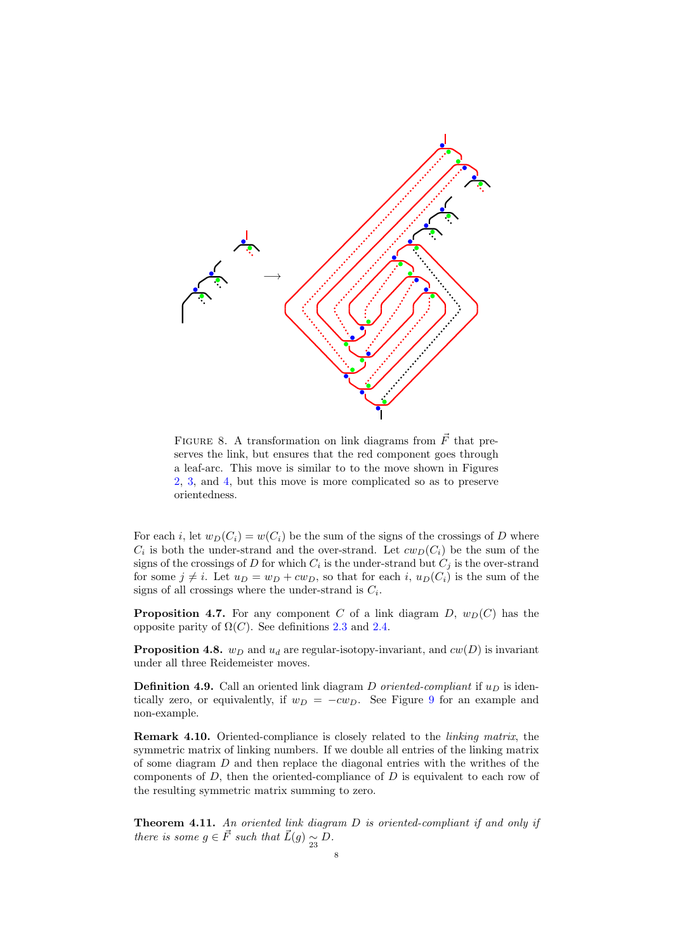<span id="page-7-0"></span>

FIGURE 8. A transformation on link diagrams from  $\vec{F}$  that preserves the link, but ensures that the red component goes through a leaf-arc. This move is similar to to the move shown in Figures [2,](#page-3-0) [3,](#page-3-1) and [4,](#page-4-0) but this move is more complicated so as to preserve orientedness.

For each i, let  $w_D(C_i) = w(C_i)$  be the sum of the signs of the crossings of D where  $C_i$  is both the under-strand and the over-strand. Let  $cw_D(C_i)$  be the sum of the signs of the crossings of D for which  $C_i$  is the under-strand but  $C_j$  is the over-strand for some  $j \neq i$ . Let  $u_D = w_D + cw_D$ , so that for each i,  $u_D(C_i)$  is the sum of the signs of all crossings where the under-strand is  $C_i$ .

<span id="page-7-1"></span>**Proposition 4.7.** For any component C of a link diagram D,  $w_D(C)$  has the opposite parity of  $\Omega(C)$ . See definitions [2.3](#page-1-0) and [2.4.](#page-1-1)

**Proposition 4.8.**  $w_D$  and  $u_d$  are regular-isotopy-invariant, and  $cw(D)$  is invariant under all three Reidemeister moves.

**Definition 4.9.** Call an oriented link diagram D oriented-compliant if  $u_D$  is identically zero, or equivalently, if  $w_D = -cw_D$ . See Figure [9](#page-8-0) for an example and non-example.

Remark 4.10. Oriented-compliance is closely related to the linking matrix, the symmetric matrix of linking numbers. If we double all entries of the linking matrix of some diagram D and then replace the diagonal entries with the writhes of the components of  $D$ , then the oriented-compliance of  $D$  is equivalent to each row of the resulting symmetric matrix summing to zero.

Theorem 4.11. An oriented link diagram D is oriented-compliant if and only if there is some  $g \in \vec{F}$  such that  $\vec{L}(g) \underset{23}{\sim} D$ .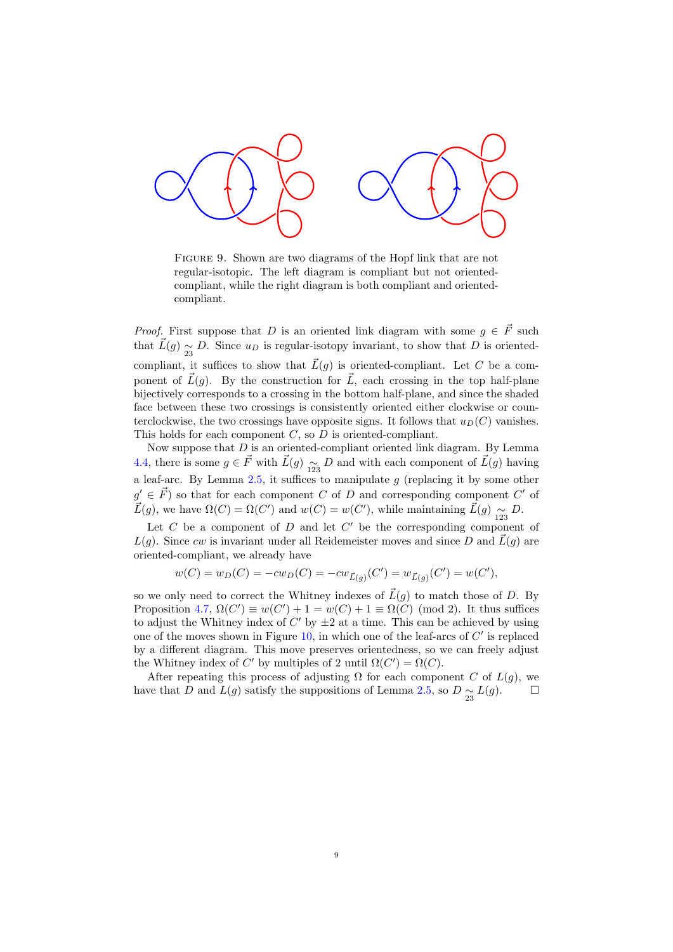<span id="page-8-0"></span>

FIGURE 9. Shown are two diagrams of the Hopf link that are not regular-isotopic. The left diagram is compliant but not orientedcompliant, while the right diagram is both compliant and orientedcompliant.

*Proof.* First suppose that D is an oriented link diagram with some  $g \in \vec{F}$  such that  $\vec{L}(g) \approx_{23} D$ . Since  $u_D$  is regular-isotopy invariant, to show that D is orientedcompliant, it suffices to show that  $\vec{L}(g)$  is oriented-compliant. Let C be a component of  $\vec{L}(q)$ . By the construction for  $\vec{L}$ , each crossing in the top half-plane bijectively corresponds to a crossing in the bottom half-plane, and since the shaded face between these two crossings is consistently oriented either clockwise or counterclockwise, the two crossings have opposite signs. It follows that  $u_D(C)$  vanishes. This holds for each component  $C$ , so  $D$  is oriented-compliant.

Now suppose that  $D$  is an oriented-compliant oriented link diagram. By Lemma [4.4,](#page-6-2) there is some  $g \in \vec{F}$  with  $\vec{L}(g) \underset{123}{\sim} D$  and with each component of  $\vec{L}(g)$  having a leaf-arc. By Lemma [2.5,](#page-1-2) it suffices to manipulate  $g$  (replacing it by some other  $g' \in \vec{F}$  so that for each component C of D and corresponding component C' of  $\vec{L}(g)$ , we have  $\Omega(C) = \Omega(C')$  and  $w(C) = w(C')$ , while maintaining  $\vec{L}(g)$   $\underset{123}{\sim}$  D.

Let  $C$  be a component of  $D$  and let  $C'$  be the corresponding component of  $L(q)$ . Since cw is invariant under all Reidemeister moves and since D and  $\vec{L}(q)$  are oriented-compliant, we already have

$$
w(C) = w_D(C) = -cw_D(C) = -cw_{\vec{L}(g)}(C') = w_{\vec{L}(g)}(C') = w(C'),
$$

so we only need to correct the Whitney indexes of  $\vec{L}(g)$  to match those of D. By Proposition [4.7,](#page-7-1)  $\Omega(C') \equiv w(C') + 1 = w(C) + 1 \equiv \Omega(C) \pmod{2}$ . It thus suffices to adjust the Whitney index of  $C'$  by  $\pm 2$  at a time. This can be achieved by using one of the moves shown in Figure  $10$ , in which one of the leaf-arcs of  $C'$  is replaced by a different diagram. This move preserves orientedness, so we can freely adjust the Whitney index of C' by multiples of 2 until  $\Omega(C') = \Omega(C)$ .

After repeating this process of adjusting  $\Omega$  for each component C of  $L(g)$ , we have that D and  $L(g)$  satisfy the suppositions of Lemma [2.5,](#page-1-2) so  $D \underset{23}{\sim} L(g)$ .  $\square$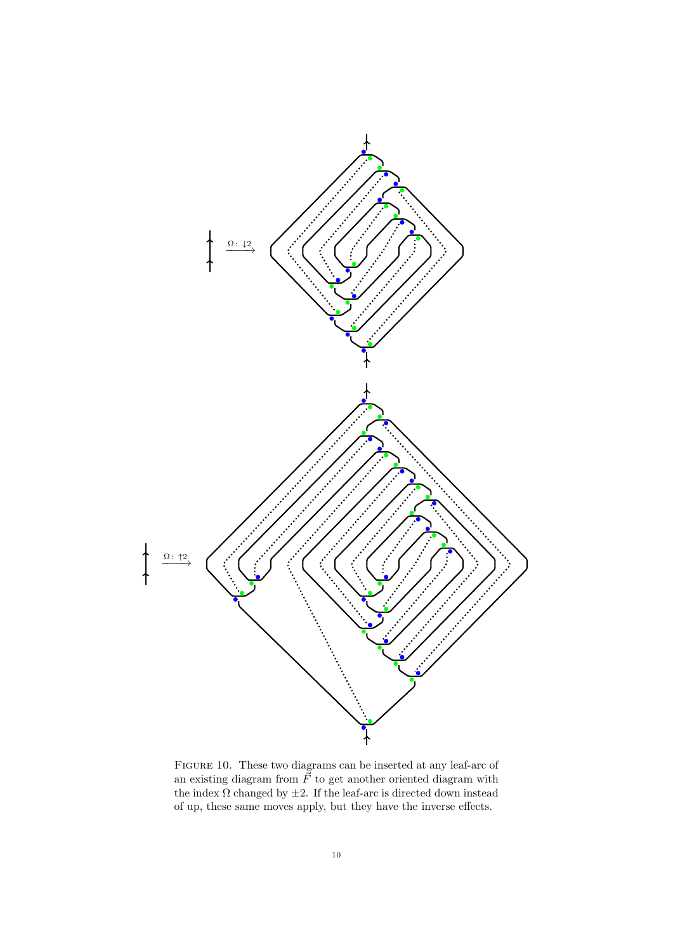<span id="page-9-0"></span>

Figure 10. These two diagrams can be inserted at any leaf-arc of an existing diagram from  $\vec{F}$  to get another oriented diagram with the index  $\Omega$  changed by  $\pm 2.$  If the leaf-arc is directed down instead of up, these same moves apply, but they have the inverse effects.